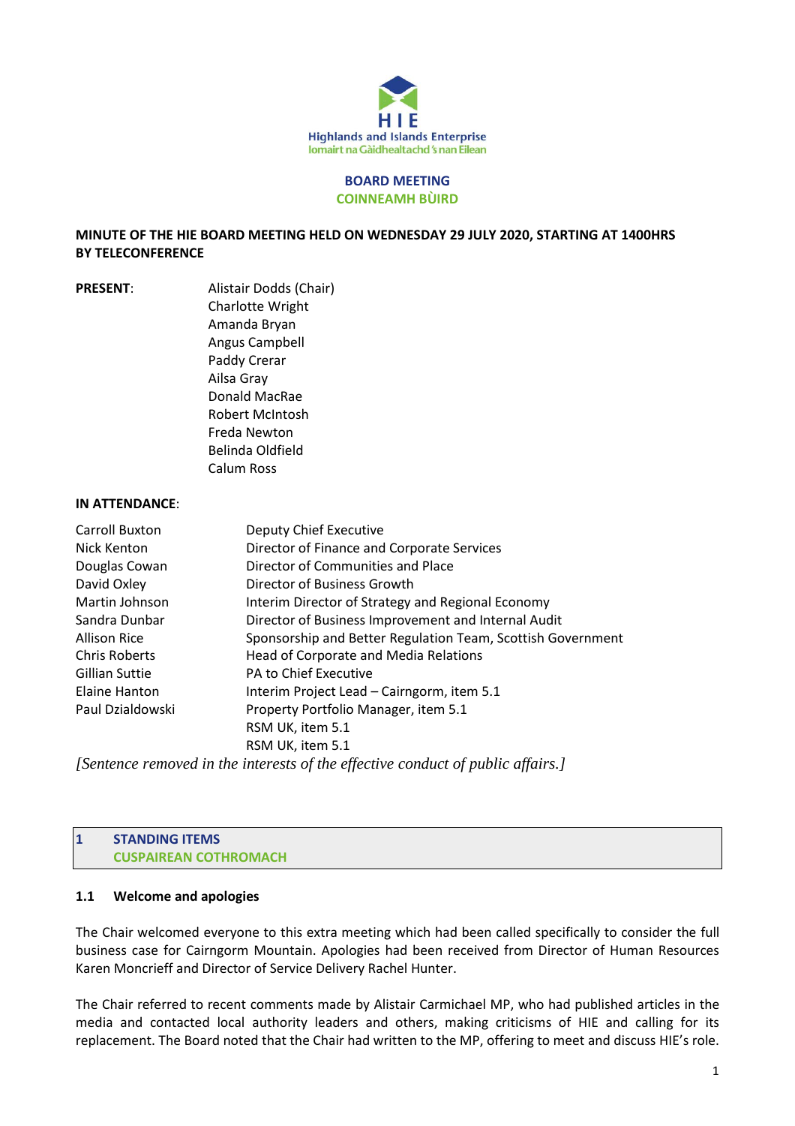

#### **BOARD MEETING COINNEAMH BÙIRD**

### **MINUTE OF THE HIE BOARD MEETING HELD ON WEDNESDAY 29 JULY 2020, STARTING AT 1400HRS BY TELECONFERENCE**

**PRESENT**: Alistair Dodds (Chair) Charlotte Wright Amanda Bryan Angus Campbell Paddy Crerar Ailsa Gray Donald MacRae Robert McIntosh Freda Newton Belinda Oldfield Calum Ross

#### **IN ATTENDANCE**:

| Carroll Buxton       | <b>Deputy Chief Executive</b>                                                       |
|----------------------|-------------------------------------------------------------------------------------|
| Nick Kenton          | Director of Finance and Corporate Services                                          |
| Douglas Cowan        | Director of Communities and Place                                                   |
| David Oxley          | Director of Business Growth                                                         |
| Martin Johnson       | Interim Director of Strategy and Regional Economy                                   |
| Sandra Dunbar        | Director of Business Improvement and Internal Audit                                 |
| <b>Allison Rice</b>  | Sponsorship and Better Regulation Team, Scottish Government                         |
| <b>Chris Roberts</b> | Head of Corporate and Media Relations                                               |
| Gillian Suttie       | PA to Chief Executive                                                               |
| Elaine Hanton        | Interim Project Lead - Cairngorm, item 5.1                                          |
| Paul Dzialdowski     | Property Portfolio Manager, item 5.1                                                |
|                      | RSM UK, item 5.1                                                                    |
|                      | RSM UK, item 5.1                                                                    |
|                      | If outgross nous quad in the interests of the effective conduct of public affains I |

*[Sentence removed in the interests of the effective conduct of public affairs.]*

#### **1 STANDING ITEMS CUSPAIREAN COTHROMACH**

### **1.1 Welcome and apologies**

The Chair welcomed everyone to this extra meeting which had been called specifically to consider the full business case for Cairngorm Mountain. Apologies had been received from Director of Human Resources Karen Moncrieff and Director of Service Delivery Rachel Hunter.

The Chair referred to recent comments made by Alistair Carmichael MP, who had published articles in the media and contacted local authority leaders and others, making criticisms of HIE and calling for its replacement. The Board noted that the Chair had written to the MP, offering to meet and discuss HIE's role.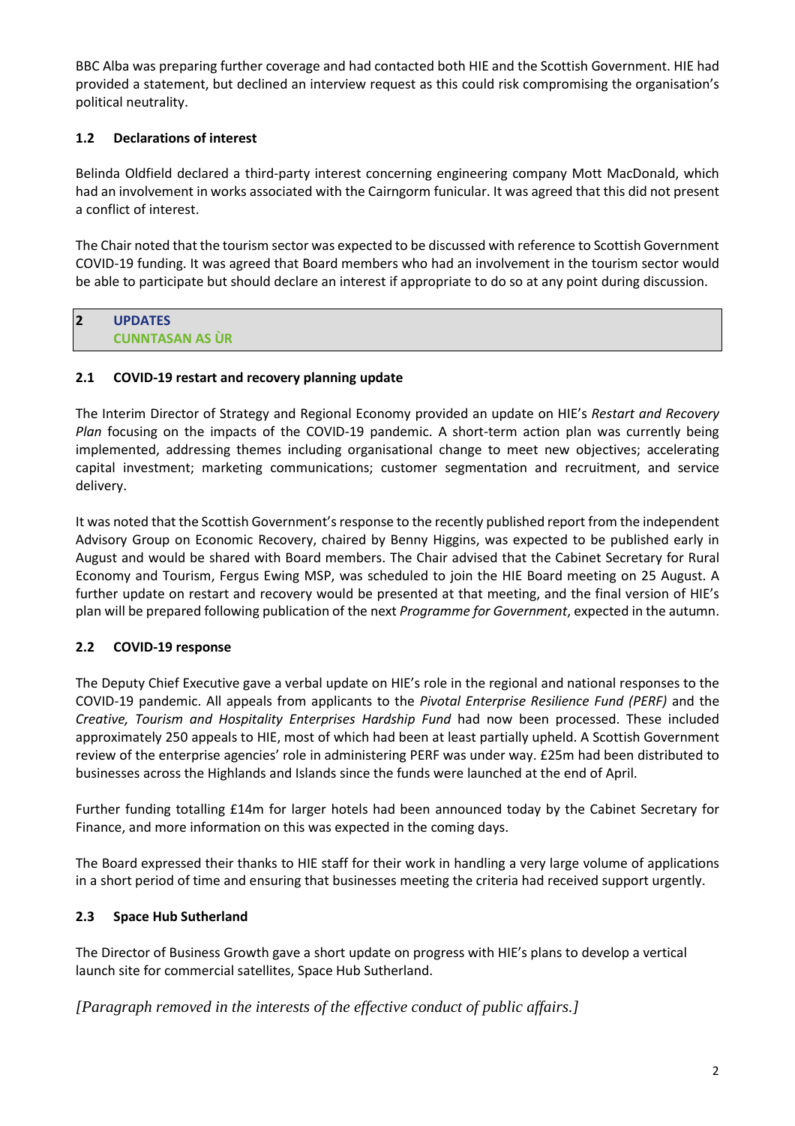BBC Alba was preparing further coverage and had contacted both HIE and the Scottish Government. HIE had provided a statement, but declined an interview request as this could risk compromising the organisation's political neutrality.

# **1.2 Declarations of interest**

Belinda Oldfield declared a third-party interest concerning engineering company Mott MacDonald, which had an involvement in works associated with the Cairngorm funicular. It was agreed that this did not present a conflict of interest.

The Chair noted that the tourism sector was expected to be discussed with reference to Scottish Government COVID-19 funding. It was agreed that Board members who had an involvement in the tourism sector would be able to participate but should declare an interest if appropriate to do so at any point during discussion.

#### **2 UPDATES CUNNTASAN AS ÙR**

## **2.1 COVID-19 restart and recovery planning update**

The Interim Director of Strategy and Regional Economy provided an update on HIE's *Restart and Recovery Plan* focusing on the impacts of the COVID-19 pandemic. A short-term action plan was currently being implemented, addressing themes including organisational change to meet new objectives; accelerating capital investment; marketing communications; customer segmentation and recruitment, and service delivery.

It was noted that the Scottish Government's response to the recently published report from the independent Advisory Group on Economic Recovery, chaired by Benny Higgins, was expected to be published early in August and would be shared with Board members. The Chair advised that the Cabinet Secretary for Rural Economy and Tourism, Fergus Ewing MSP, was scheduled to join the HIE Board meeting on 25 August. A further update on restart and recovery would be presented at that meeting, and the final version of HIE's plan will be prepared following publication of the next *Programme for Government*, expected in the autumn.

# **2.2 COVID-19 response**

The Deputy Chief Executive gave a verbal update on HIE's role in the regional and national responses to the COVID-19 pandemic. All appeals from applicants to the *Pivotal Enterprise Resilience Fund (PERF)* and the *Creative, Tourism and Hospitality Enterprises Hardship Fund* had now been processed. These included approximately 250 appeals to HIE, most of which had been at least partially upheld. A Scottish Government review of the enterprise agencies' role in administering PERF was under way. £25m had been distributed to businesses across the Highlands and Islands since the funds were launched at the end of April.

Further funding totalling £14m for larger hotels had been announced today by the Cabinet Secretary for Finance, and more information on this was expected in the coming days.

The Board expressed their thanks to HIE staff for their work in handling a very large volume of applications in a short period of time and ensuring that businesses meeting the criteria had received support urgently.

## **2.3 Space Hub Sutherland**

The Director of Business Growth gave a short update on progress with HIE's plans to develop a vertical launch site for commercial satellites, Space Hub Sutherland.

*[Paragraph removed in the interests of the effective conduct of public affairs.]*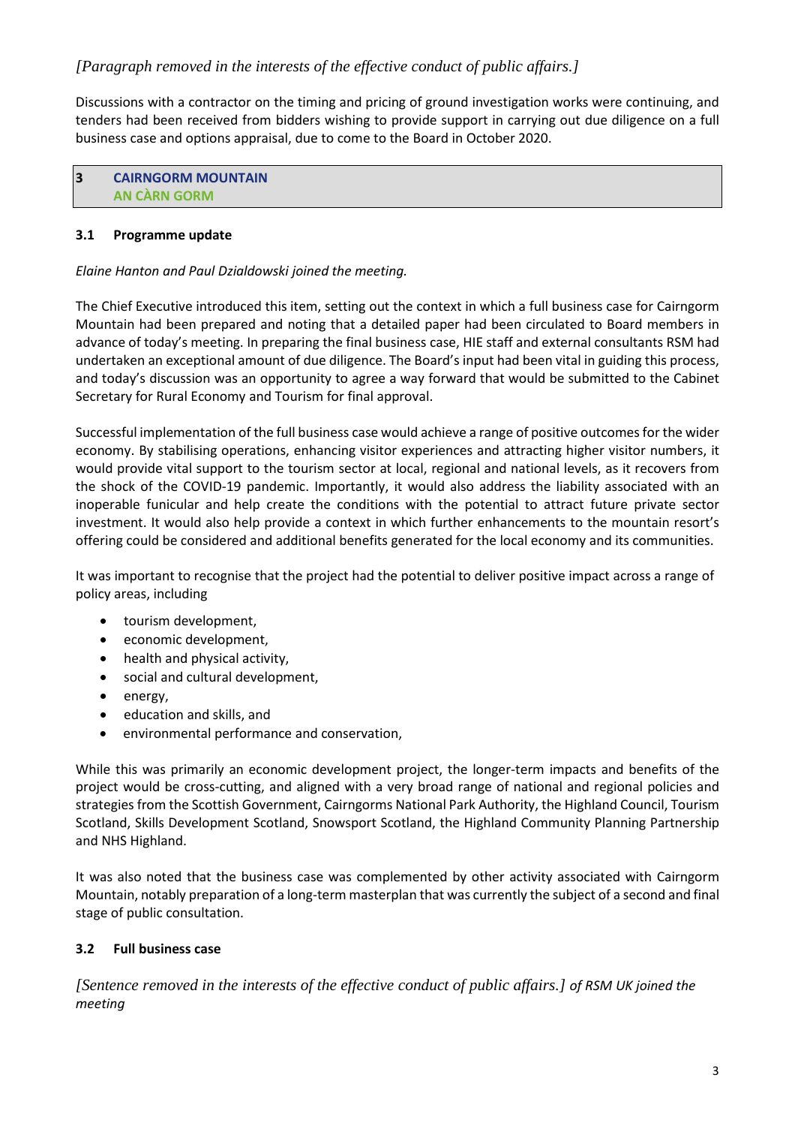# *[Paragraph removed in the interests of the effective conduct of public affairs.]*

Discussions with a contractor on the timing and pricing of ground investigation works were continuing, and tenders had been received from bidders wishing to provide support in carrying out due diligence on a full business case and options appraisal, due to come to the Board in October 2020.

**3 CAIRNGORM MOUNTAIN AN CÀRN GORM**

### **3.1 Programme update**

### *Elaine Hanton and Paul Dzialdowski joined the meeting.*

The Chief Executive introduced this item, setting out the context in which a full business case for Cairngorm Mountain had been prepared and noting that a detailed paper had been circulated to Board members in advance of today's meeting. In preparing the final business case, HIE staff and external consultants RSM had undertaken an exceptional amount of due diligence. The Board's input had been vital in guiding this process, and today's discussion was an opportunity to agree a way forward that would be submitted to the Cabinet Secretary for Rural Economy and Tourism for final approval.

Successful implementation of the full business case would achieve a range of positive outcomes for the wider economy. By stabilising operations, enhancing visitor experiences and attracting higher visitor numbers, it would provide vital support to the tourism sector at local, regional and national levels, as it recovers from the shock of the COVID-19 pandemic. Importantly, it would also address the liability associated with an inoperable funicular and help create the conditions with the potential to attract future private sector investment. It would also help provide a context in which further enhancements to the mountain resort's offering could be considered and additional benefits generated for the local economy and its communities.

It was important to recognise that the project had the potential to deliver positive impact across a range of policy areas, including

- tourism development,
- economic development,
- health and physical activity,
- social and cultural development,
- energy,
- education and skills, and
- environmental performance and conservation,

While this was primarily an economic development project, the longer-term impacts and benefits of the project would be cross-cutting, and aligned with a very broad range of national and regional policies and strategies from the Scottish Government, Cairngorms National Park Authority, the Highland Council, Tourism Scotland, Skills Development Scotland, Snowsport Scotland, the Highland Community Planning Partnership and NHS Highland.

It was also noted that the business case was complemented by other activity associated with Cairngorm Mountain, notably preparation of a long-term masterplan that was currently the subject of a second and final stage of public consultation.

## **3.2 Full business case**

*[Sentence removed in the interests of the effective conduct of public affairs.] of RSM UK joined the meeting*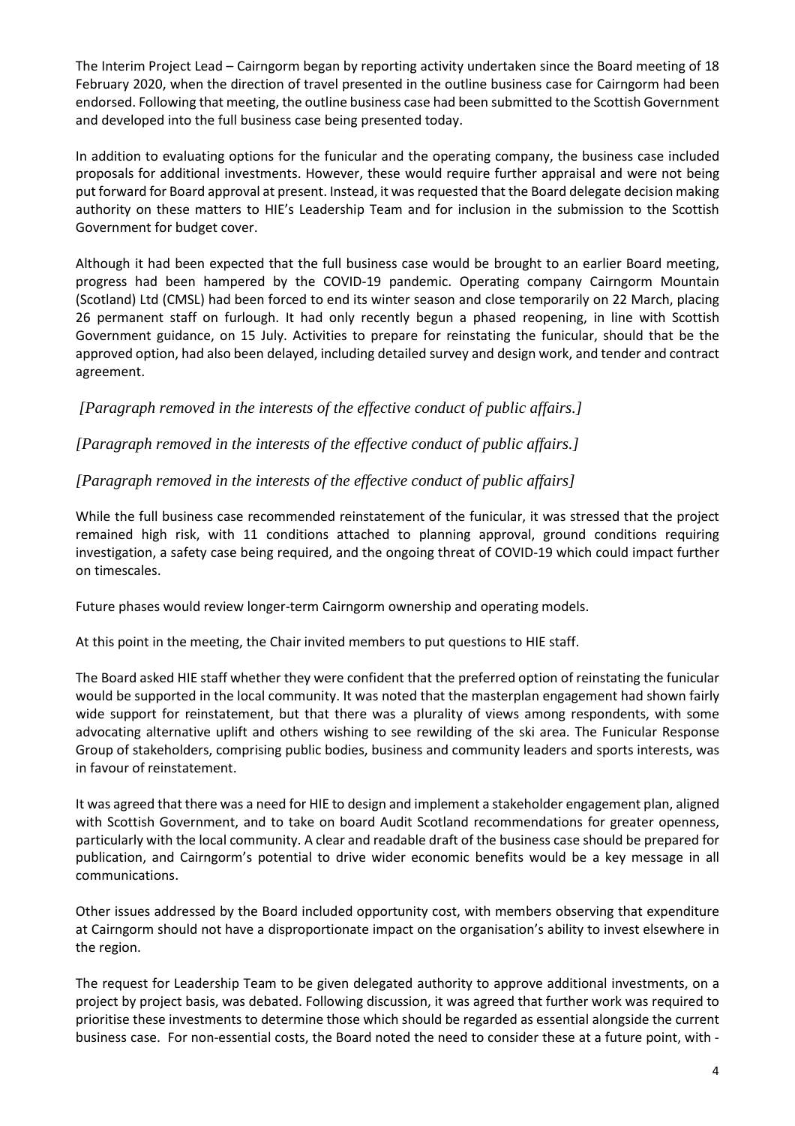The Interim Project Lead – Cairngorm began by reporting activity undertaken since the Board meeting of 18 February 2020, when the direction of travel presented in the outline business case for Cairngorm had been endorsed. Following that meeting, the outline business case had been submitted to the Scottish Government and developed into the full business case being presented today.

In addition to evaluating options for the funicular and the operating company, the business case included proposals for additional investments. However, these would require further appraisal and were not being put forward for Board approval at present. Instead, it was requested that the Board delegate decision making authority on these matters to HIE's Leadership Team and for inclusion in the submission to the Scottish Government for budget cover.

Although it had been expected that the full business case would be brought to an earlier Board meeting, progress had been hampered by the COVID-19 pandemic. Operating company Cairngorm Mountain (Scotland) Ltd (CMSL) had been forced to end its winter season and close temporarily on 22 March, placing 26 permanent staff on furlough. It had only recently begun a phased reopening, in line with Scottish Government guidance, on 15 July. Activities to prepare for reinstating the funicular, should that be the approved option, had also been delayed, including detailed survey and design work, and tender and contract agreement.

*[Paragraph removed in the interests of the effective conduct of public affairs.]*

*[Paragraph removed in the interests of the effective conduct of public affairs.]*

## *[Paragraph removed in the interests of the effective conduct of public affairs]*

While the full business case recommended reinstatement of the funicular, it was stressed that the project remained high risk, with 11 conditions attached to planning approval, ground conditions requiring investigation, a safety case being required, and the ongoing threat of COVID-19 which could impact further on timescales.

Future phases would review longer-term Cairngorm ownership and operating models.

At this point in the meeting, the Chair invited members to put questions to HIE staff.

The Board asked HIE staff whether they were confident that the preferred option of reinstating the funicular would be supported in the local community. It was noted that the masterplan engagement had shown fairly wide support for reinstatement, but that there was a plurality of views among respondents, with some advocating alternative uplift and others wishing to see rewilding of the ski area. The Funicular Response Group of stakeholders, comprising public bodies, business and community leaders and sports interests, was in favour of reinstatement.

It was agreed that there was a need for HIE to design and implement a stakeholder engagement plan, aligned with Scottish Government, and to take on board Audit Scotland recommendations for greater openness, particularly with the local community. A clear and readable draft of the business case should be prepared for publication, and Cairngorm's potential to drive wider economic benefits would be a key message in all communications.

Other issues addressed by the Board included opportunity cost, with members observing that expenditure at Cairngorm should not have a disproportionate impact on the organisation's ability to invest elsewhere in the region.

The request for Leadership Team to be given delegated authority to approve additional investments, on a project by project basis, was debated. Following discussion, it was agreed that further work was required to prioritise these investments to determine those which should be regarded as essential alongside the current business case. For non-essential costs, the Board noted the need to consider these at a future point, with -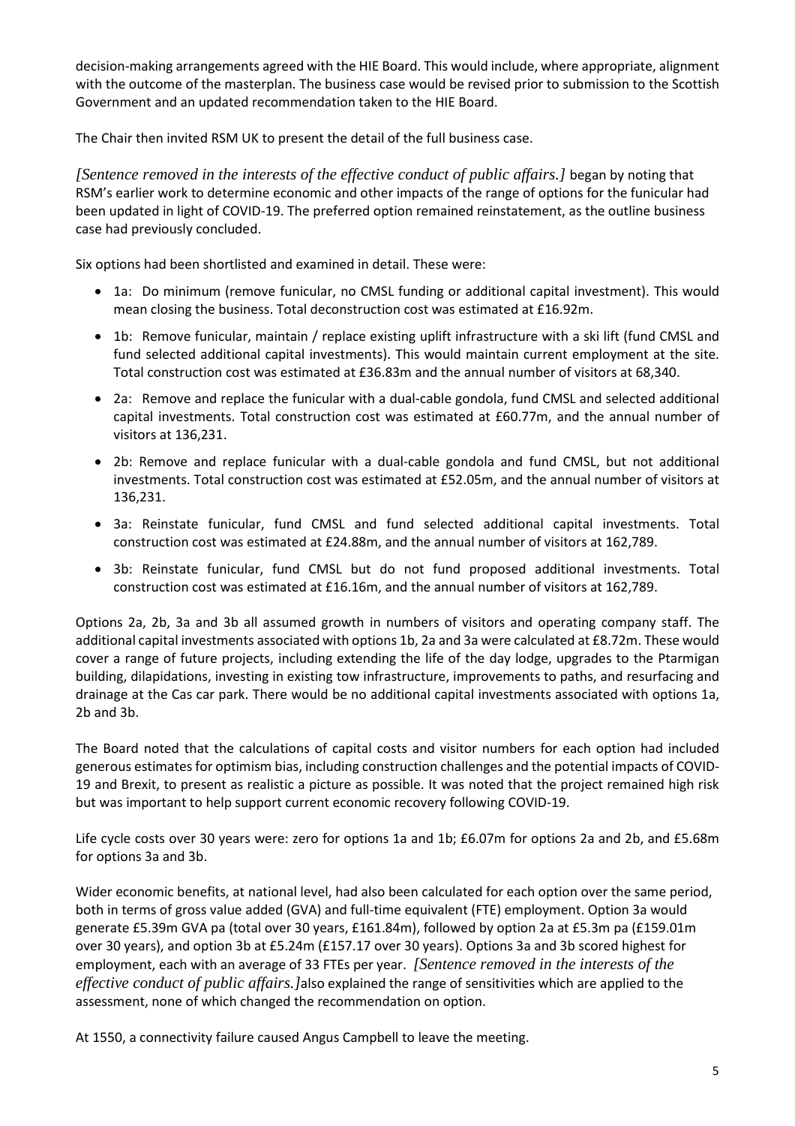decision-making arrangements agreed with the HIE Board. This would include, where appropriate, alignment with the outcome of the masterplan. The business case would be revised prior to submission to the Scottish Government and an updated recommendation taken to the HIE Board.

The Chair then invited RSM UK to present the detail of the full business case.

*[Sentence removed in the interests of the effective conduct of public affairs.]* began by noting that RSM's earlier work to determine economic and other impacts of the range of options for the funicular had been updated in light of COVID-19. The preferred option remained reinstatement, as the outline business case had previously concluded.

Six options had been shortlisted and examined in detail. These were:

- 1a: Do minimum (remove funicular, no CMSL funding or additional capital investment). This would mean closing the business. Total deconstruction cost was estimated at £16.92m.
- 1b: Remove funicular, maintain / replace existing uplift infrastructure with a ski lift (fund CMSL and fund selected additional capital investments). This would maintain current employment at the site. Total construction cost was estimated at £36.83m and the annual number of visitors at 68,340.
- 2a: Remove and replace the funicular with a dual-cable gondola, fund CMSL and selected additional capital investments. Total construction cost was estimated at £60.77m, and the annual number of visitors at 136,231.
- 2b: Remove and replace funicular with a dual-cable gondola and fund CMSL, but not additional investments. Total construction cost was estimated at £52.05m, and the annual number of visitors at 136,231.
- 3a: Reinstate funicular, fund CMSL and fund selected additional capital investments. Total construction cost was estimated at £24.88m, and the annual number of visitors at 162,789.
- 3b: Reinstate funicular, fund CMSL but do not fund proposed additional investments. Total construction cost was estimated at £16.16m, and the annual number of visitors at 162,789.

Options 2a, 2b, 3a and 3b all assumed growth in numbers of visitors and operating company staff. The additional capital investments associated with options 1b, 2a and 3a were calculated at £8.72m. These would cover a range of future projects, including extending the life of the day lodge, upgrades to the Ptarmigan building, dilapidations, investing in existing tow infrastructure, improvements to paths, and resurfacing and drainage at the Cas car park. There would be no additional capital investments associated with options 1a, 2b and 3b.

The Board noted that the calculations of capital costs and visitor numbers for each option had included generous estimates for optimism bias, including construction challenges and the potential impacts of COVID-19 and Brexit, to present as realistic a picture as possible. It was noted that the project remained high risk but was important to help support current economic recovery following COVID-19.

Life cycle costs over 30 years were: zero for options 1a and 1b; £6.07m for options 2a and 2b, and £5.68m for options 3a and 3b.

Wider economic benefits, at national level, had also been calculated for each option over the same period, both in terms of gross value added (GVA) and full-time equivalent (FTE) employment. Option 3a would generate £5.39m GVA pa (total over 30 years, £161.84m), followed by option 2a at £5.3m pa (£159.01m over 30 years), and option 3b at £5.24m (£157.17 over 30 years). Options 3a and 3b scored highest for employment, each with an average of 33 FTEs per year. *[Sentence removed in the interests of the effective conduct of public affairs.]*also explained the range of sensitivities which are applied to the assessment, none of which changed the recommendation on option.

At 1550, a connectivity failure caused Angus Campbell to leave the meeting.